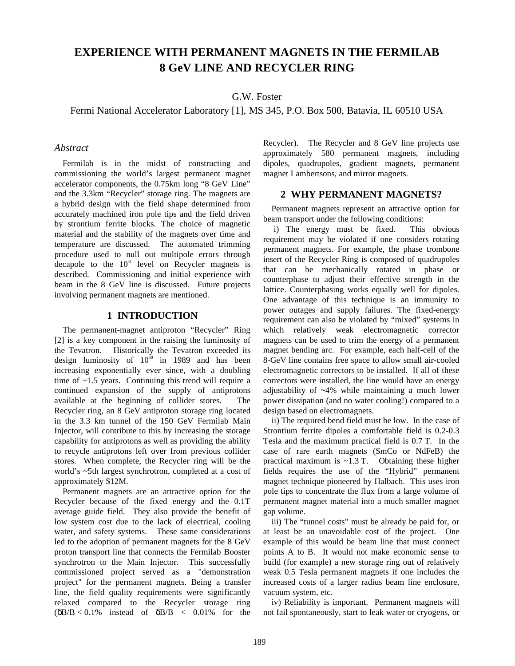# **EXPERIENCE WITH PERMANENT MAGNETS IN THE FERMILAB 8 GeV LINE AND RECYCLER RING**

G.W. Foster

Fermi National Accelerator Laboratory [1], MS 345, P.O. Box 500, Batavia, IL 60510 USA

# *Abstract*

Fermilab is in the midst of constructing and commissioning the world's largest permanent magnet accelerator components, the 0.75km long "8 GeV Line" and the 3.3km "Recycler" storage ring. The magnets are a hybrid design with the field shape determined from accurately machined iron pole tips and the field driven by strontium ferrite blocks. The choice of magnetic material and the stability of the magnets over time and temperature are discussed. The automated trimming procedure used to null out multipole errors through decapole to the  $10^{-5}$  level on Recycler magnets is described. Commissioning and initial experience with beam in the 8 GeV line is discussed. Future projects involving permanent magnets are mentioned.

# **1 INTRODUCTION**

The permanent-magnet antiproton "Recycler" Ring [2] is a key component in the raising the luminosity of the Tevatron. Historically the Tevatron exceeded its design luminosity of  $10^{30}$  in 1989 and has been increasing exponentially ever since, with a doubling time of ~1.5 years. Continuing this trend will require a continued expansion of the supply of antiprotons available at the beginning of collider stores. The Recycler ring, an 8 GeV antiproton storage ring located in the 3.3 km tunnel of the 150 GeV Fermilab Main Injector, will contribute to this by increasing the storage capability for antiprotons as well as providing the ability to recycle antiprotons left over from previous collider stores. When complete, the Recycler ring will be the world's ~5th largest synchrotron, completed at a cost of approximately \$12M.

Permanent magnets are an attractive option for the Recycler because of the fixed energy and the 0.1T average guide field. They also provide the benefit of low system cost due to the lack of electrical, cooling water, and safety systems. These same considerations led to the adoption of permanent magnets for the 8 GeV proton transport line that connects the Fermilab Booster synchrotron to the Main Injector. This successfully commissioned project served as a "demonstration project" for the permanent magnets. Being a transfer line, the field quality requirements were significantly relaxed compared to the Recycler storage ring  $(\delta B/B < 0.1\%$  instead of  $\delta B/B < 0.01\%$  for the

Recycler). The Recycler and 8 GeV line projects use approximately 580 permanent magnets, including dipoles, quadrupoles, gradient magnets, permanent magnet Lambertsons, and mirror magnets.

## **2 WHY PERMANENT MAGNETS?**

Permanent magnets represent an attractive option for beam transport under the following conditions:

 i) The energy must be fixed. This obvious requirement may be violated if one considers rotating permanent magnets. For example, the phase trombone insert of the Recycler Ring is composed of quadrupoles that can be mechanically rotated in phase or counterphase to adjust their effective strength in the lattice. Counterphasing works equally well for dipoles. One advantage of this technique is an immunity to power outages and supply failures. The fixed-energy requirement can also be violated by "mixed" systems in which relatively weak electromagnetic corrector magnets can be used to trim the energy of a permanent magnet bending arc. For example, each half-cell of the 8-GeV line contains free space to allow small air-cooled electromagnetic correctors to be installed. If all of these correctors were installed, the line would have an energy adjustability of ~4% while maintaining a much lower power dissipation (and no water cooling!) compared to a design based on electromagnets.

ii) The required bend field must be low. In the case of Strontium ferrite dipoles a comfortable field is 0.2-0.3 Tesla and the maximum practical field is 0.7 T. In the case of rare earth magnets (SmCo or NdFeB) the practical maximum is ~1.3 T. Obtaining these higher fields requires the use of the "Hybrid" permanent magnet technique pioneered by Halbach. This uses iron pole tips to concentrate the flux from a large volume of permanent magnet material into a much smaller magnet gap volume.

iii) The "tunnel costs" must be already be paid for, or at least be an unavoidable cost of the project. One example of this would be beam line that must connect points A to B. It would not make economic sense to build (for example) a new storage ring out of relatively weak 0.5 Tesla permanent magnets if one includes the increased costs of a larger radius beam line enclosure, vacuum system, etc.

iv) Reliability is important. Permanent magnets will not fail spontaneously, start to leak water or cryogens, or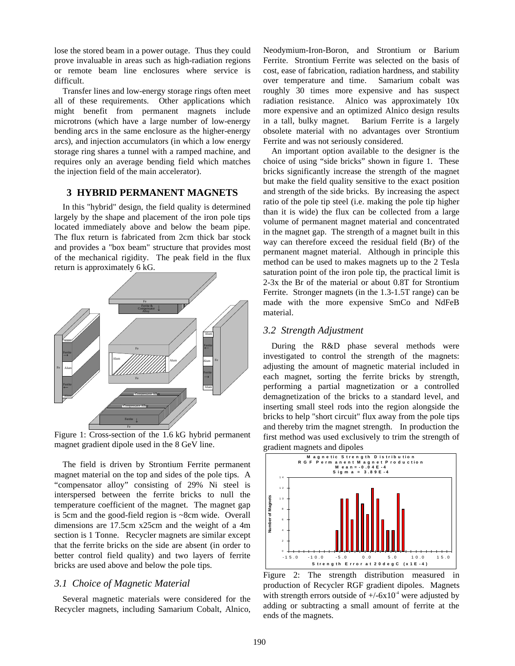lose the stored beam in a power outage. Thus they could prove invaluable in areas such as high-radiation regions or remote beam line enclosures where service is difficult.

Transfer lines and low-energy storage rings often meet all of these requirements. Other applications which might benefit from permanent magnets include microtrons (which have a large number of low-energy bending arcs in the same enclosure as the higher-energy arcs), and injection accumulators (in which a low energy storage ring shares a tunnel with a ramped machine, and requires only an average bending field which matches the injection field of the main accelerator).

## **3 HYBRID PERMANENT MAGNETS**

In this "hybrid" design, the field quality is determined largely by the shape and placement of the iron pole tips located immediately above and below the beam pipe. The flux return is fabricated from 2cm thick bar stock and provides a "box beam" structure that provides most of the mechanical rigidity. The peak field in the flux return is approximately 6 kG.



Figure 1: Cross-section of the 1.6 kG hybrid permanent magnet gradient dipole used in the 8 GeV line.

The field is driven by Strontium Ferrite permanent magnet material on the top and sides of the pole tips. A "compensator alloy" consisting of 29% Ni steel is interspersed between the ferrite bricks to null the temperature coefficient of the magnet. The magnet gap is 5cm and the good-field region is ~8cm wide. Overall dimensions are 17.5cm x25cm and the weight of a 4m section is 1 Tonne. Recycler magnets are similar except that the ferrite bricks on the side are absent (in order to better control field quality) and two layers of ferrite bricks are used above and below the pole tips.

#### *3.1 Choice of Magnetic Material*

Several magnetic materials were considered for the Recycler magnets, including Samarium Cobalt, Alnico, Neodymium-Iron-Boron, and Strontium or Barium Ferrite. Strontium Ferrite was selected on the basis of cost, ease of fabrication, radiation hardness, and stability over temperature and time. Samarium cobalt was roughly 30 times more expensive and has suspect radiation resistance. Alnico was approximately 10x more expensive and an optimized Alnico design results in a tall, bulky magnet. Barium Ferrite is a largely obsolete material with no advantages over Strontium Ferrite and was not seriously considered.

An important option available to the designer is the choice of using "side bricks" shown in figure 1. These bricks significantly increase the strength of the magnet but make the field quality sensitive to the exact position and strength of the side bricks. By increasing the aspect ratio of the pole tip steel (i.e. making the pole tip higher than it is wide) the flux can be collected from a large volume of permanent magnet material and concentrated in the magnet gap. The strength of a magnet built in this way can therefore exceed the residual field (Br) of the permanent magnet material. Although in principle this method can be used to makes magnets up to the 2 Tesla saturation point of the iron pole tip, the practical limit is 2-3x the Br of the material or about 0.8T for Strontium Ferrite. Stronger magnets (in the 1.3-1.5T range) can be made with the more expensive SmCo and NdFeB material.

#### *3.2 Strength Adjustment*

During the R&D phase several methods were investigated to control the strength of the magnets: adjusting the amount of magnetic material included in each magnet, sorting the ferrite bricks by strength, performing a partial magnetization or a controlled demagnetization of the bricks to a standard level, and inserting small steel rods into the region alongside the bricks to help "short circuit" flux away from the pole tips and thereby trim the magnet strength. In production the first method was used exclusively to trim the strength of gradient magnets and dipoles



Figure 2: The strength distribution measured in production of Recycler RGF gradient dipoles. Magnets with strength errors outside of  $+/-6x10^4$  were adjusted by adding or subtracting a small amount of ferrite at the ends of the magnets.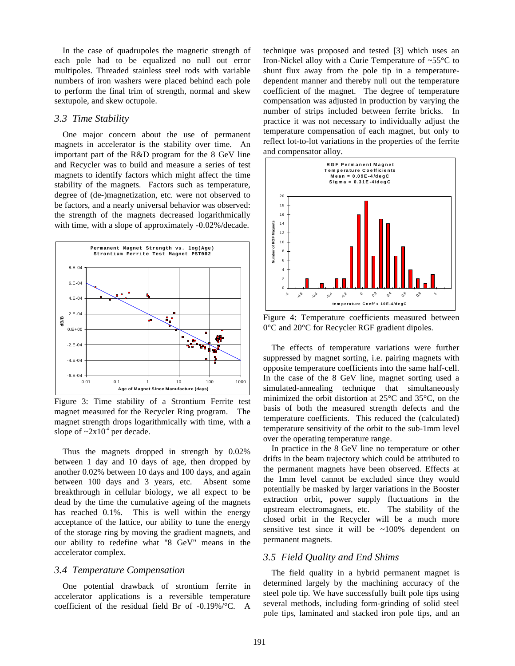In the case of quadrupoles the magnetic strength of each pole had to be equalized no null out error multipoles. Threaded stainless steel rods with variable numbers of iron washers were placed behind each pole to perform the final trim of strength, normal and skew sextupole, and skew octupole.

## *3.3 Time Stability*

One major concern about the use of permanent magnets in accelerator is the stability over time. An important part of the R&D program for the 8 GeV line and Recycler was to build and measure a series of test magnets to identify factors which might affect the time stability of the magnets. Factors such as temperature, degree of (de-)magnetization, etc. were not observed to be factors, and a nearly universal behavior was observed: the strength of the magnets decreased logarithmically with time, with a slope of approximately -0.02%/decade.



Figure 3: Time stability of a Strontium Ferrite test magnet measured for the Recycler Ring program. The magnet strength drops logarithmically with time, with a slope of  $\approx 2x10^4$  per decade.

Thus the magnets dropped in strength by 0.02% between 1 day and 10 days of age, then dropped by another 0.02% between 10 days and 100 days, and again between 100 days and 3 years, etc. Absent some breakthrough in cellular biology, we all expect to be dead by the time the cumulative ageing of the magnets has reached 0.1%. This is well within the energy acceptance of the lattice, our ability to tune the energy of the storage ring by moving the gradient magnets, and our ability to redefine what "8 GeV" means in the accelerator complex.

#### *3.4 Temperature Compensation*

One potential drawback of strontium ferrite in accelerator applications is a reversible temperature coefficient of the residual field Br of -0.19%/°C. A technique was proposed and tested [3] which uses an Iron-Nickel alloy with a Curie Temperature of ~55°C to shunt flux away from the pole tip in a temperaturedependent manner and thereby null out the temperature coefficient of the magnet. The degree of temperature compensation was adjusted in production by varying the number of strips included between ferrite bricks. In practice it was not necessary to individually adjust the temperature compensation of each magnet, but only to reflect lot-to-lot variations in the properties of the ferrite and compensator alloy.



Figure 4: Temperature coefficients measured between 0°C and 20°C for Recycler RGF gradient dipoles.

The effects of temperature variations were further suppressed by magnet sorting, i.e. pairing magnets with opposite temperature coefficients into the same half-cell. In the case of the 8 GeV line, magnet sorting used a simulated-annealing technique that simultaneously minimized the orbit distortion at 25°C and 35°C, on the basis of both the measured strength defects and the temperature coefficients. This reduced the (calculated) temperature sensitivity of the orbit to the sub-1mm level over the operating temperature range.

In practice in the 8 GeV line no temperature or other drifts in the beam trajectory which could be attributed to the permanent magnets have been observed. Effects at the 1mm level cannot be excluded since they would potentially be masked by larger variations in the Booster extraction orbit, power supply fluctuations in the upstream electromagnets, etc. The stability of the closed orbit in the Recycler will be a much more sensitive test since it will be  $\sim$ 100% dependent on permanent magnets.

#### *3.5 Field Quality and End Shims*

The field quality in a hybrid permanent magnet is determined largely by the machining accuracy of the steel pole tip. We have successfully built pole tips using several methods, including form-grinding of solid steel pole tips, laminated and stacked iron pole tips, and an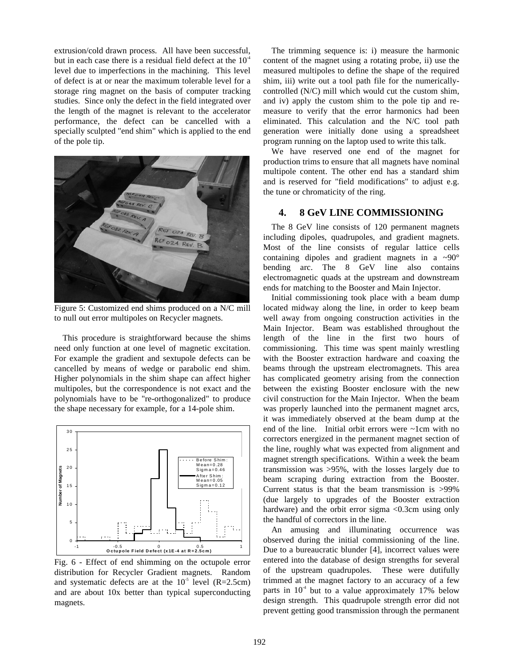extrusion/cold drawn process. All have been successful, but in each case there is a residual field defect at the  $10<sup>4</sup>$ level due to imperfections in the machining. This level of defect is at or near the maximum tolerable level for a storage ring magnet on the basis of computer tracking studies. Since only the defect in the field integrated over the length of the magnet is relevant to the accelerator performance, the defect can be cancelled with a specially sculpted "end shim" which is applied to the end of the pole tip.



Figure 5: Customized end shims produced on a N/C mill to null out error multipoles on Recycler magnets.

This procedure is straightforward because the shims need only function at one level of magnetic excitation. For example the gradient and sextupole defects can be cancelled by means of wedge or parabolic end shim. Higher polynomials in the shim shape can affect higher multipoles, but the correspondence is not exact and the polynomials have to be "re-orthogonalized" to produce the shape necessary for example, for a 14-pole shim.



Fig. 6 - Effect of end shimming on the octupole error distribution for Recycler Gradient magnets. Random and systematic defects are at the  $10^5$  level (R=2.5cm) and are about 10x better than typical superconducting magnets.

The trimming sequence is: i) measure the harmonic content of the magnet using a rotating probe, ii) use the measured multipoles to define the shape of the required shim, iii) write out a tool path file for the numericallycontrolled (N/C) mill which would cut the custom shim, and iv) apply the custom shim to the pole tip and remeasure to verify that the error harmonics had been eliminated. This calculation and the N/C tool path generation were initially done using a spreadsheet program running on the laptop used to write this talk.

We have reserved one end of the magnet for production trims to ensure that all magnets have nominal multipole content. The other end has a standard shim and is reserved for "field modifications" to adjust e.g. the tune or chromaticity of the ring.

## **4. 8 GeV LINE COMMISSIONING**

The 8 GeV line consists of 120 permanent magnets including dipoles, quadrupoles, and gradient magnets. Most of the line consists of regular lattice cells containing dipoles and gradient magnets in a  $\sim 90^\circ$ bending arc. The 8 GeV line also contains electromagnetic quads at the upstream and downstream ends for matching to the Booster and Main Injector.

Initial commissioning took place with a beam dump located midway along the line, in order to keep beam well away from ongoing construction activities in the Main Injector. Beam was established throughout the length of the line in the first two hours of commissioning. This time was spent mainly wrestling with the Booster extraction hardware and coaxing the beams through the upstream electromagnets. This area has complicated geometry arising from the connection between the existing Booster enclosure with the new civil construction for the Main Injector. When the beam was properly launched into the permanent magnet arcs, it was immediately observed at the beam dump at the end of the line. Initial orbit errors were ~1cm with no correctors energized in the permanent magnet section of the line, roughly what was expected from alignment and magnet strength specifications. Within a week the beam transmission was >95%, with the losses largely due to beam scraping during extraction from the Booster. Current status is that the beam transmission is >99% (due largely to upgrades of the Booster extraction hardware) and the orbit error sigma <0.3cm using only the handful of correctors in the line.

An amusing and illuminating occurrence was observed during the initial commissioning of the line. Due to a bureaucratic blunder [4], incorrect values were entered into the database of design strengths for several of the upstream quadrupoles. These were dutifully trimmed at the magnet factory to an accuracy of a few parts in  $10<sup>4</sup>$  but to a value approximately 17% below design strength. This quadrupole strength error did not prevent getting good transmission through the permanent